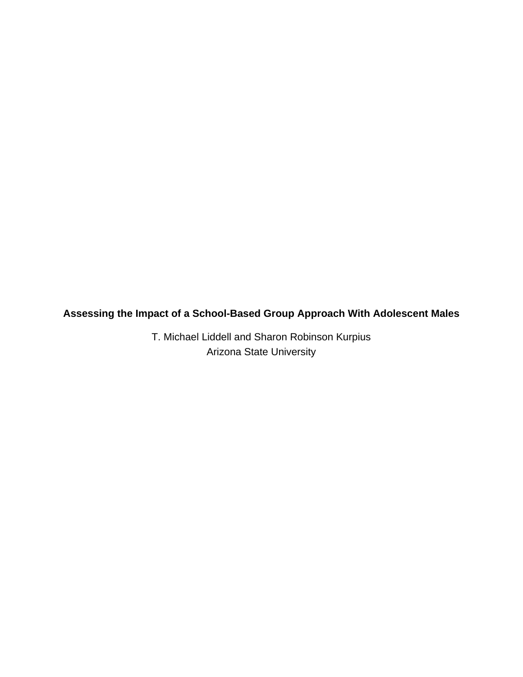**Assessing the Impact of a School-Based Group Approach With Adolescent Males**

T. Michael Liddell and Sharon Robinson Kurpius Arizona State University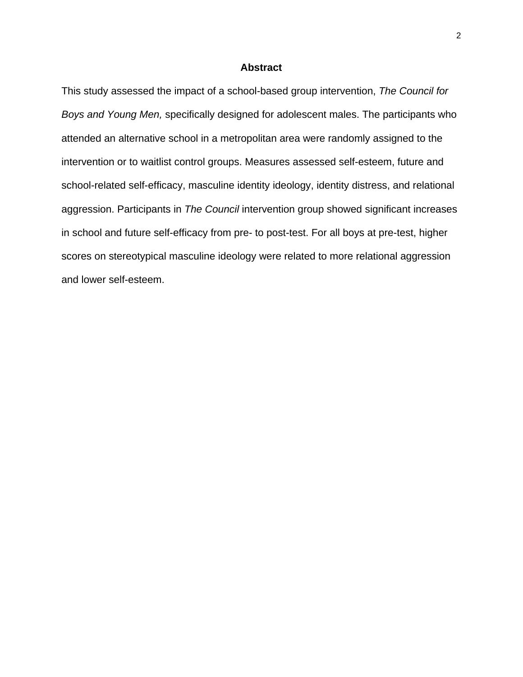## **Abstract**

This study assessed the impact of a school-based group intervention, *The Council for Boys and Young Men,* specifically designed for adolescent males. The participants who attended an alternative school in a metropolitan area were randomly assigned to the intervention or to waitlist control groups. Measures assessed self-esteem, future and school-related self-efficacy, masculine identity ideology, identity distress, and relational aggression. Participants in *The Council* intervention group showed significant increases in school and future self-efficacy from pre- to post-test. For all boys at pre-test, higher scores on stereotypical masculine ideology were related to more relational aggression and lower self-esteem.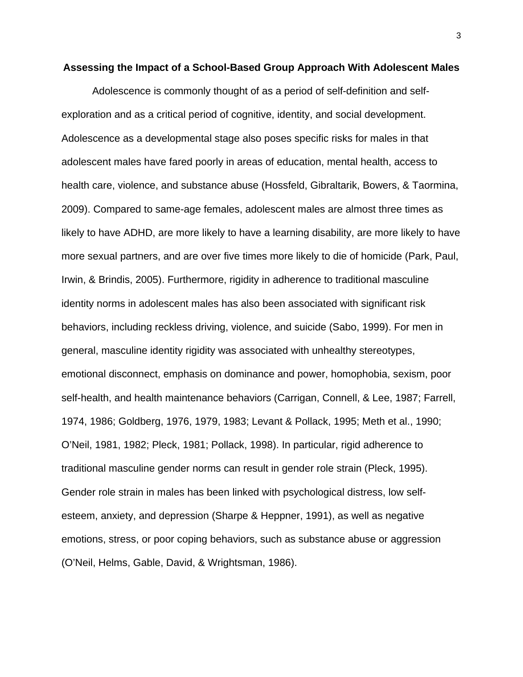#### **Assessing the Impact of a School-Based Group Approach With Adolescent Males**

Adolescence is commonly thought of as a period of self-definition and selfexploration and as a critical period of cognitive, identity, and social development. Adolescence as a developmental stage also poses specific risks for males in that adolescent males have fared poorly in areas of education, mental health, access to health care, violence, and substance abuse (Hossfeld, Gibraltarik, Bowers, & Taormina, 2009). Compared to same-age females, adolescent males are almost three times as likely to have ADHD, are more likely to have a learning disability, are more likely to have more sexual partners, and are over five times more likely to die of homicide (Park, Paul, Irwin, & Brindis, 2005). Furthermore, rigidity in adherence to traditional masculine identity norms in adolescent males has also been associated with significant risk behaviors, including reckless driving, violence, and suicide (Sabo, 1999). For men in general, masculine identity rigidity was associated with unhealthy stereotypes, emotional disconnect, emphasis on dominance and power, homophobia, sexism, poor self-health, and health maintenance behaviors (Carrigan, Connell, & Lee, 1987; Farrell, 1974, 1986; Goldberg, 1976, 1979, 1983; Levant & Pollack, 1995; Meth et al., 1990; O'Neil, 1981, 1982; Pleck, 1981; Pollack, 1998). In particular, rigid adherence to traditional masculine gender norms can result in gender role strain (Pleck, 1995). Gender role strain in males has been linked with psychological distress, low selfesteem, anxiety, and depression (Sharpe & Heppner, 1991), as well as negative emotions, stress, or poor coping behaviors, such as substance abuse or aggression (O'Neil, Helms, Gable, David, & Wrightsman, 1986).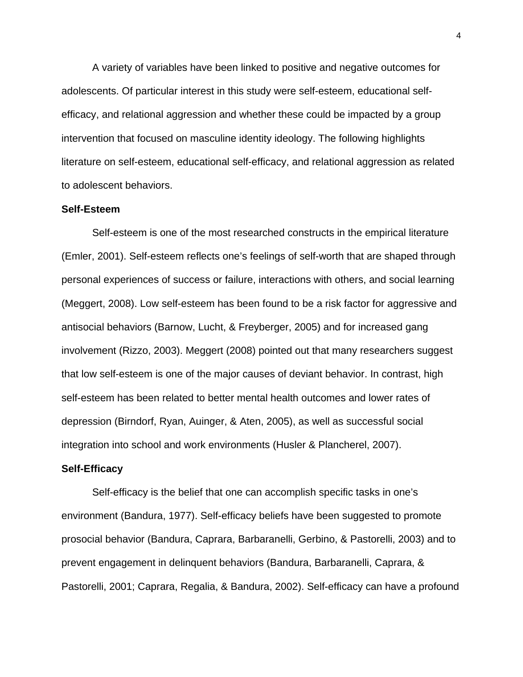A variety of variables have been linked to positive and negative outcomes for adolescents. Of particular interest in this study were self-esteem, educational selfefficacy, and relational aggression and whether these could be impacted by a group intervention that focused on masculine identity ideology. The following highlights literature on self-esteem, educational self-efficacy, and relational aggression as related to adolescent behaviors.

#### **Self-Esteem**

Self-esteem is one of the most researched constructs in the empirical literature (Emler, 2001). Self-esteem reflects one's feelings of self-worth that are shaped through personal experiences of success or failure, interactions with others, and social learning (Meggert, 2008). Low self-esteem has been found to be a risk factor for aggressive and antisocial behaviors (Barnow, Lucht, & Freyberger, 2005) and for increased gang involvement (Rizzo, 2003). Meggert (2008) pointed out that many researchers suggest that low self-esteem is one of the major causes of deviant behavior. In contrast, high self-esteem has been related to better mental health outcomes and lower rates of depression (Birndorf, Ryan, Auinger, & Aten, 2005), as well as successful social integration into school and work environments (Husler & Plancherel, 2007).

#### **Self-Efficacy**

Self-efficacy is the belief that one can accomplish specific tasks in one's environment (Bandura, 1977). Self-efficacy beliefs have been suggested to promote prosocial behavior (Bandura, Caprara, Barbaranelli, Gerbino, & Pastorelli, 2003) and to prevent engagement in delinquent behaviors (Bandura, Barbaranelli, Caprara, & Pastorelli, 2001; Caprara, Regalia, & Bandura, 2002). Self-efficacy can have a profound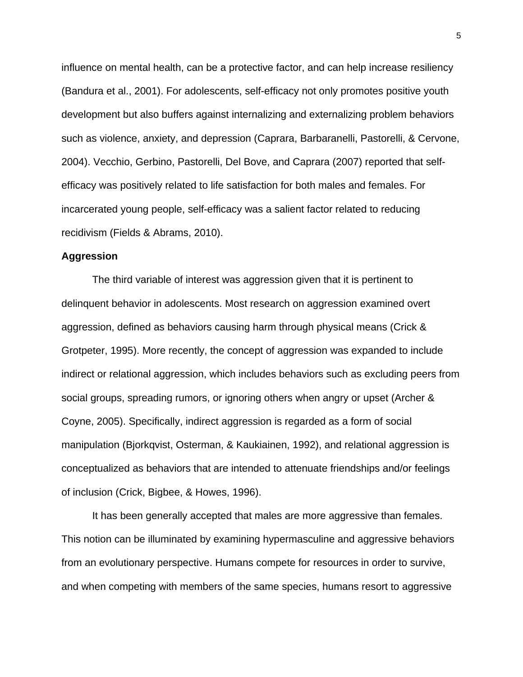influence on mental health, can be a protective factor, and can help increase resiliency (Bandura et al., 2001). For adolescents, self-efficacy not only promotes positive youth development but also buffers against internalizing and externalizing problem behaviors such as violence, anxiety, and depression (Caprara, Barbaranelli, Pastorelli, & Cervone, 2004). Vecchio, Gerbino, Pastorelli, Del Bove, and Caprara (2007) reported that selfefficacy was positively related to life satisfaction for both males and females. For incarcerated young people, self-efficacy was a salient factor related to reducing recidivism (Fields & Abrams, 2010).

## **Aggression**

The third variable of interest was aggression given that it is pertinent to delinquent behavior in adolescents. Most research on aggression examined overt aggression, defined as behaviors causing harm through physical means (Crick & Grotpeter, 1995). More recently, the concept of aggression was expanded to include indirect or relational aggression, which includes behaviors such as excluding peers from social groups, spreading rumors, or ignoring others when angry or upset (Archer & Coyne, 2005). Specifically, indirect aggression is regarded as a form of social manipulation (Bjorkqvist, Osterman, & Kaukiainen, 1992), and relational aggression is conceptualized as behaviors that are intended to attenuate friendships and/or feelings of inclusion (Crick, Bigbee, & Howes, 1996).

It has been generally accepted that males are more aggressive than females. This notion can be illuminated by examining hypermasculine and aggressive behaviors from an evolutionary perspective. Humans compete for resources in order to survive, and when competing with members of the same species, humans resort to aggressive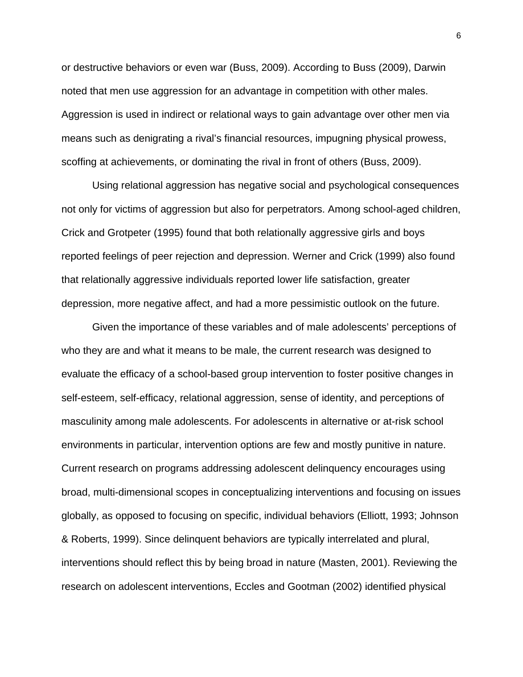or destructive behaviors or even war (Buss, 2009). According to Buss (2009), Darwin noted that men use aggression for an advantage in competition with other males. Aggression is used in indirect or relational ways to gain advantage over other men via means such as denigrating a rival's financial resources, impugning physical prowess, scoffing at achievements, or dominating the rival in front of others (Buss, 2009).

Using relational aggression has negative social and psychological consequences not only for victims of aggression but also for perpetrators. Among school-aged children, Crick and Grotpeter (1995) found that both relationally aggressive girls and boys reported feelings of peer rejection and depression. Werner and Crick (1999) also found that relationally aggressive individuals reported lower life satisfaction, greater depression, more negative affect, and had a more pessimistic outlook on the future.

Given the importance of these variables and of male adolescents' perceptions of who they are and what it means to be male, the current research was designed to evaluate the efficacy of a school-based group intervention to foster positive changes in self-esteem, self-efficacy, relational aggression, sense of identity, and perceptions of masculinity among male adolescents. For adolescents in alternative or at-risk school environments in particular, intervention options are few and mostly punitive in nature. Current research on programs addressing adolescent delinquency encourages using broad, multi-dimensional scopes in conceptualizing interventions and focusing on issues globally, as opposed to focusing on specific, individual behaviors (Elliott, 1993; Johnson & Roberts, 1999). Since delinquent behaviors are typically interrelated and plural, interventions should reflect this by being broad in nature (Masten, 2001). Reviewing the research on adolescent interventions, Eccles and Gootman (2002) identified physical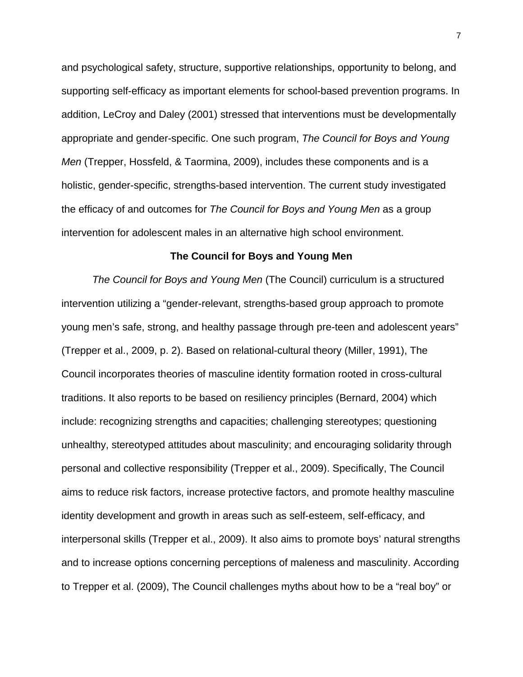and psychological safety, structure, supportive relationships, opportunity to belong, and supporting self-efficacy as important elements for school-based prevention programs. In addition, LeCroy and Daley (2001) stressed that interventions must be developmentally appropriate and gender-specific. One such program, *The Council for Boys and Young Men* (Trepper, Hossfeld, & Taormina, 2009), includes these components and is a holistic, gender-specific, strengths-based intervention. The current study investigated the efficacy of and outcomes for *The Council for Boys and Young Men* as a group intervention for adolescent males in an alternative high school environment.

### **The Council for Boys and Young Men**

*The Council for Boys and Young Men* (The Council) curriculum is a structured intervention utilizing a "gender-relevant, strengths-based group approach to promote young men's safe, strong, and healthy passage through pre-teen and adolescent years" (Trepper et al., 2009, p. 2). Based on relational-cultural theory (Miller, 1991), The Council incorporates theories of masculine identity formation rooted in cross-cultural traditions. It also reports to be based on resiliency principles (Bernard, 2004) which include: recognizing strengths and capacities; challenging stereotypes; questioning unhealthy, stereotyped attitudes about masculinity; and encouraging solidarity through personal and collective responsibility (Trepper et al., 2009). Specifically, The Council aims to reduce risk factors, increase protective factors, and promote healthy masculine identity development and growth in areas such as self-esteem, self-efficacy, and interpersonal skills (Trepper et al., 2009). It also aims to promote boys' natural strengths and to increase options concerning perceptions of maleness and masculinity. According to Trepper et al. (2009), The Council challenges myths about how to be a "real boy" or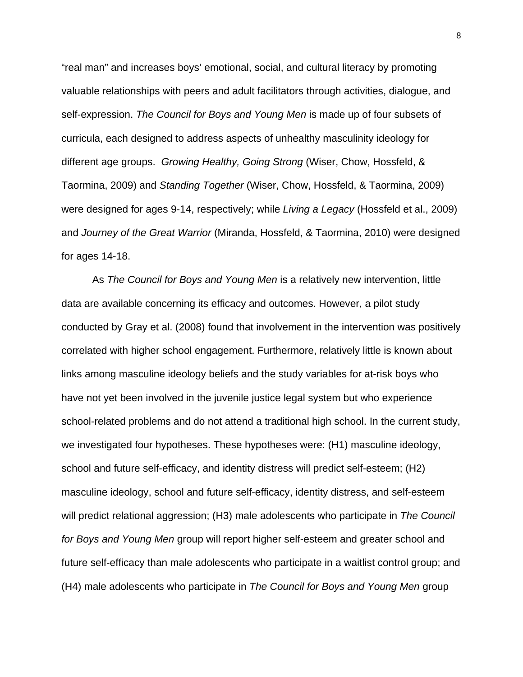"real man" and increases boys' emotional, social, and cultural literacy by promoting valuable relationships with peers and adult facilitators through activities, dialogue, and self-expression. *The Council for Boys and Young Men* is made up of four subsets of curricula, each designed to address aspects of unhealthy masculinity ideology for different age groups. *Growing Healthy, Going Strong* (Wiser, Chow, Hossfeld, & Taormina, 2009) and *Standing Together* (Wiser, Chow, Hossfeld, & Taormina, 2009) were designed for ages 9-14, respectively; while *Living a Legacy* (Hossfeld et al., 2009) and *Journey of the Great Warrior* (Miranda, Hossfeld, & Taormina, 2010) were designed for ages 14-18.

As *The Council for Boys and Young Men* is a relatively new intervention, little data are available concerning its efficacy and outcomes. However, a pilot study conducted by Gray et al. (2008) found that involvement in the intervention was positively correlated with higher school engagement. Furthermore, relatively little is known about links among masculine ideology beliefs and the study variables for at-risk boys who have not yet been involved in the juvenile justice legal system but who experience school-related problems and do not attend a traditional high school. In the current study, we investigated four hypotheses. These hypotheses were: (H1) masculine ideology, school and future self-efficacy, and identity distress will predict self-esteem; (H2) masculine ideology, school and future self-efficacy, identity distress, and self-esteem will predict relational aggression; (H3) male adolescents who participate in *The Council for Boys and Young Men* group will report higher self-esteem and greater school and future self-efficacy than male adolescents who participate in a waitlist control group; and (H4) male adolescents who participate in *The Council for Boys and Young Men* group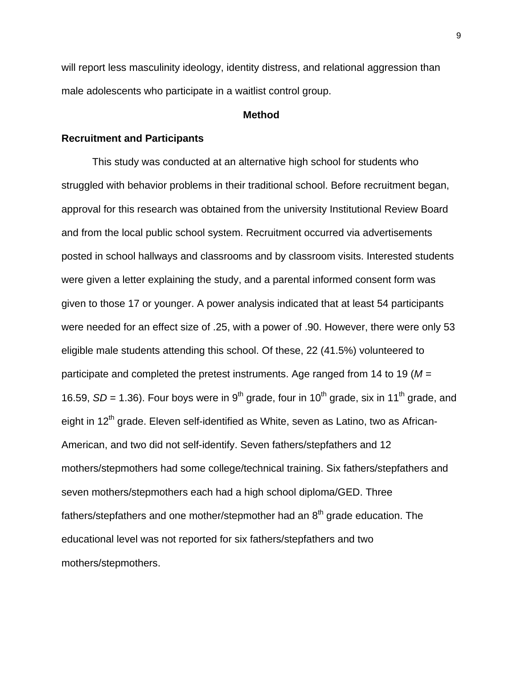will report less masculinity ideology, identity distress, and relational aggression than male adolescents who participate in a waitlist control group.

# **Method**

### **Recruitment and Participants**

This study was conducted at an alternative high school for students who struggled with behavior problems in their traditional school. Before recruitment began, approval for this research was obtained from the university Institutional Review Board and from the local public school system. Recruitment occurred via advertisements posted in school hallways and classrooms and by classroom visits. Interested students were given a letter explaining the study, and a parental informed consent form was given to those 17 or younger. A power analysis indicated that at least 54 participants were needed for an effect size of .25, with a power of .90. However, there were only 53 eligible male students attending this school. Of these, 22 (41.5%) volunteered to participate and completed the pretest instruments. Age ranged from 14 to 19 (*M* = 16.59, *SD* = 1.36). Four boys were in 9<sup>th</sup> grade, four in 10<sup>th</sup> grade, six in 11<sup>th</sup> grade, and eight in 12<sup>th</sup> grade. Eleven self-identified as White, seven as Latino, two as African-American, and two did not self-identify. Seven fathers/stepfathers and 12 mothers/stepmothers had some college/technical training. Six fathers/stepfathers and seven mothers/stepmothers each had a high school diploma/GED. Three fathers/stepfathers and one mother/stepmother had an  $8<sup>th</sup>$  grade education. The educational level was not reported for six fathers/stepfathers and two mothers/stepmothers.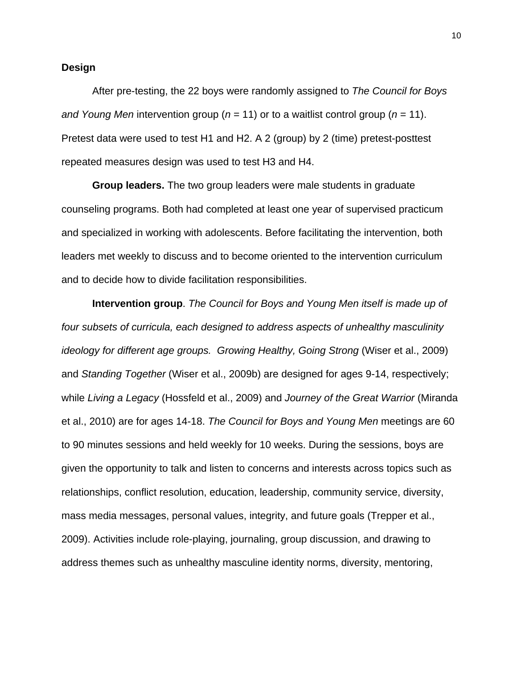## **Design**

After pre-testing, the 22 boys were randomly assigned to *The Council for Boys and Young Men* intervention group (*n* = 11) or to a waitlist control group (*n* = 11). Pretest data were used to test H1 and H2. A 2 (group) by 2 (time) pretest-posttest repeated measures design was used to test H3 and H4.

**Group leaders.** The two group leaders were male students in graduate counseling programs. Both had completed at least one year of supervised practicum and specialized in working with adolescents. Before facilitating the intervention, both leaders met weekly to discuss and to become oriented to the intervention curriculum and to decide how to divide facilitation responsibilities.

**Intervention group**. *The Council for Boys and Young Men itself is made up of four subsets of curricula, each designed to address aspects of unhealthy masculinity ideology for different age groups. Growing Healthy, Going Strong (Wiser et al., 2009)* and *Standing Together* (Wiser et al., 2009b) are designed for ages 9-14, respectively; while *Living a Legacy* (Hossfeld et al., 2009) and *Journey of the Great Warrior* (Miranda et al., 2010) are for ages 14-18. *The Council for Boys and Young Men* meetings are 60 to 90 minutes sessions and held weekly for 10 weeks. During the sessions, boys are given the opportunity to talk and listen to concerns and interests across topics such as relationships, conflict resolution, education, leadership, community service, diversity, mass media messages, personal values, integrity, and future goals (Trepper et al., 2009). Activities include role-playing, journaling, group discussion, and drawing to address themes such as unhealthy masculine identity norms, diversity, mentoring,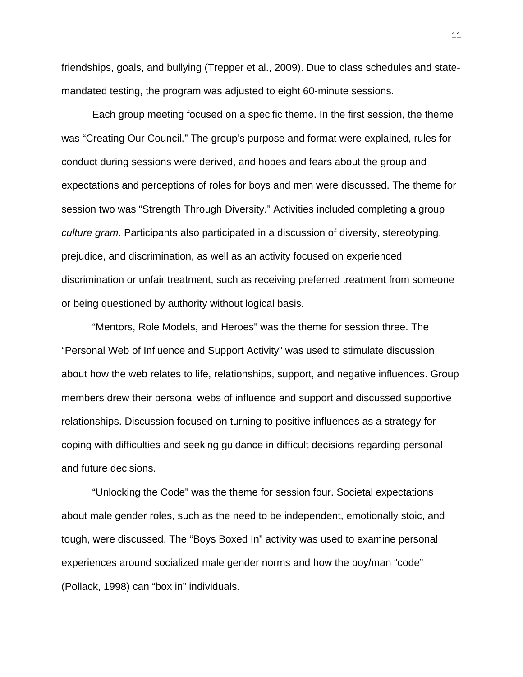friendships, goals, and bullying (Trepper et al., 2009). Due to class schedules and statemandated testing, the program was adjusted to eight 60-minute sessions.

Each group meeting focused on a specific theme. In the first session, the theme was "Creating Our Council." The group's purpose and format were explained, rules for conduct during sessions were derived, and hopes and fears about the group and expectations and perceptions of roles for boys and men were discussed. The theme for session two was "Strength Through Diversity." Activities included completing a group *culture gram*. Participants also participated in a discussion of diversity, stereotyping, prejudice, and discrimination, as well as an activity focused on experienced discrimination or unfair treatment, such as receiving preferred treatment from someone or being questioned by authority without logical basis.

"Mentors, Role Models, and Heroes" was the theme for session three. The "Personal Web of Influence and Support Activity" was used to stimulate discussion about how the web relates to life, relationships, support, and negative influences. Group members drew their personal webs of influence and support and discussed supportive relationships. Discussion focused on turning to positive influences as a strategy for coping with difficulties and seeking guidance in difficult decisions regarding personal and future decisions.

"Unlocking the Code" was the theme for session four. Societal expectations about male gender roles, such as the need to be independent, emotionally stoic, and tough, were discussed. The "Boys Boxed In" activity was used to examine personal experiences around socialized male gender norms and how the boy/man "code" (Pollack, 1998) can "box in" individuals.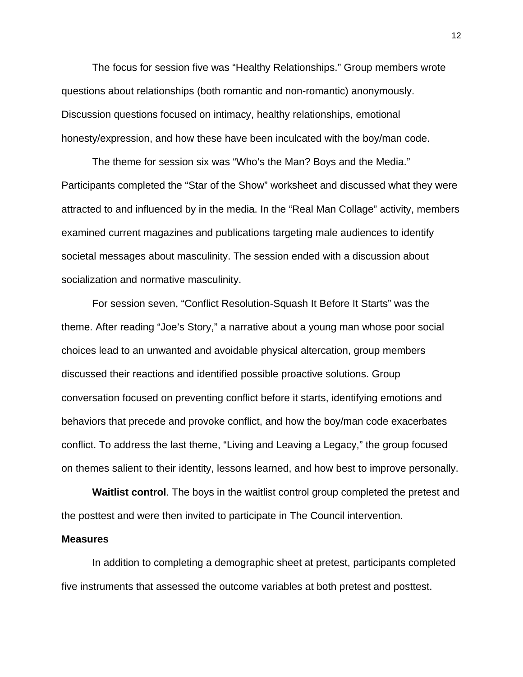The focus for session five was "Healthy Relationships." Group members wrote questions about relationships (both romantic and non-romantic) anonymously. Discussion questions focused on intimacy, healthy relationships, emotional honesty/expression, and how these have been inculcated with the boy/man code.

The theme for session six was "Who's the Man? Boys and the Media." Participants completed the "Star of the Show" worksheet and discussed what they were attracted to and influenced by in the media. In the "Real Man Collage" activity, members examined current magazines and publications targeting male audiences to identify societal messages about masculinity. The session ended with a discussion about socialization and normative masculinity.

For session seven, "Conflict Resolution-Squash It Before It Starts" was the theme. After reading "Joe's Story," a narrative about a young man whose poor social choices lead to an unwanted and avoidable physical altercation, group members discussed their reactions and identified possible proactive solutions. Group conversation focused on preventing conflict before it starts, identifying emotions and behaviors that precede and provoke conflict, and how the boy/man code exacerbates conflict. To address the last theme, "Living and Leaving a Legacy," the group focused on themes salient to their identity, lessons learned, and how best to improve personally.

**Waitlist control**. The boys in the waitlist control group completed the pretest and the posttest and were then invited to participate in The Council intervention.

## **Measures**

In addition to completing a demographic sheet at pretest, participants completed five instruments that assessed the outcome variables at both pretest and posttest.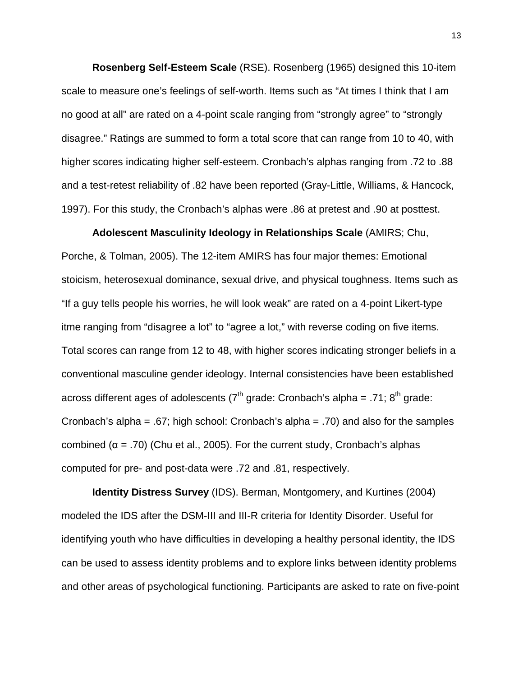**Rosenberg Self-Esteem Scale** (RSE). Rosenberg (1965) designed this 10-item scale to measure one's feelings of self-worth. Items such as "At times I think that I am no good at all" are rated on a 4-point scale ranging from "strongly agree" to "strongly disagree." Ratings are summed to form a total score that can range from 10 to 40, with higher scores indicating higher self-esteem. Cronbach's alphas ranging from .72 to .88 and a test-retest reliability of .82 have been reported (Gray-Little, Williams, & Hancock, 1997). For this study, the Cronbach's alphas were .86 at pretest and .90 at posttest.

**Adolescent Masculinity Ideology in Relationships Scale** (AMIRS; Chu, Porche, & Tolman, 2005). The 12-item AMIRS has four major themes: Emotional stoicism, heterosexual dominance, sexual drive, and physical toughness. Items such as "If a guy tells people his worries, he will look weak" are rated on a 4-point Likert-type itme ranging from "disagree a lot" to "agree a lot," with reverse coding on five items. Total scores can range from 12 to 48, with higher scores indicating stronger beliefs in a conventional masculine gender ideology. Internal consistencies have been established across different ages of adolescents ( $7<sup>th</sup>$  grade: Cronbach's alpha = .71;  $8<sup>th</sup>$  grade: Cronbach's alpha = .67; high school: Cronbach's alpha = .70) and also for the samples combined ( $α = .70$ ) (Chu et al., 2005). For the current study, Cronbach's alphas computed for pre- and post-data were .72 and .81, respectively.

**Identity Distress Survey** (IDS). Berman, Montgomery, and Kurtines (2004) modeled the IDS after the DSM-III and III-R criteria for Identity Disorder. Useful for identifying youth who have difficulties in developing a healthy personal identity, the IDS can be used to assess identity problems and to explore links between identity problems and other areas of psychological functioning. Participants are asked to rate on five-point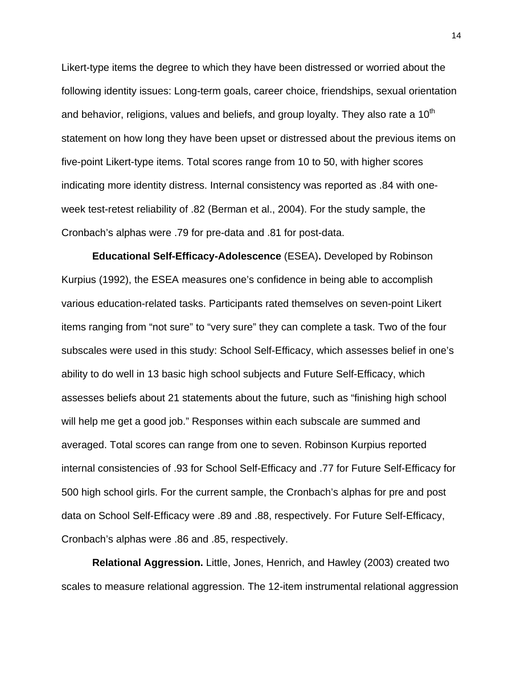Likert-type items the degree to which they have been distressed or worried about the following identity issues: Long-term goals, career choice, friendships, sexual orientation and behavior, religions, values and beliefs, and group loyalty. They also rate a  $10<sup>th</sup>$ statement on how long they have been upset or distressed about the previous items on five-point Likert-type items. Total scores range from 10 to 50, with higher scores indicating more identity distress. Internal consistency was reported as .84 with oneweek test-retest reliability of .82 (Berman et al., 2004). For the study sample, the Cronbach's alphas were .79 for pre-data and .81 for post-data.

**Educational Self-Efficacy-Adolescence** (ESEA)**.** Developed by Robinson Kurpius (1992), the ESEA measures one's confidence in being able to accomplish various education-related tasks. Participants rated themselves on seven-point Likert items ranging from "not sure" to "very sure" they can complete a task. Two of the four subscales were used in this study: School Self-Efficacy, which assesses belief in one's ability to do well in 13 basic high school subjects and Future Self-Efficacy, which assesses beliefs about 21 statements about the future, such as "finishing high school will help me get a good job." Responses within each subscale are summed and averaged. Total scores can range from one to seven. Robinson Kurpius reported internal consistencies of .93 for School Self-Efficacy and .77 for Future Self-Efficacy for 500 high school girls. For the current sample, the Cronbach's alphas for pre and post data on School Self-Efficacy were .89 and .88, respectively. For Future Self-Efficacy, Cronbach's alphas were .86 and .85, respectively.

**Relational Aggression.** Little, Jones, Henrich, and Hawley (2003) created two scales to measure relational aggression. The 12-item instrumental relational aggression

14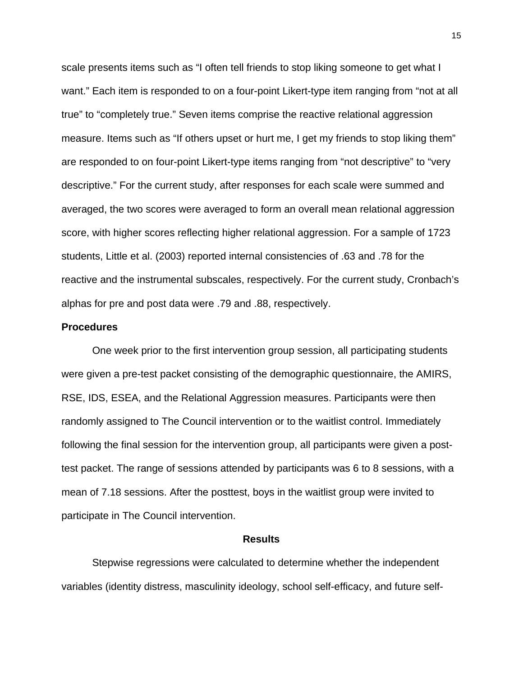scale presents items such as "I often tell friends to stop liking someone to get what I want." Each item is responded to on a four-point Likert-type item ranging from "not at all true" to "completely true." Seven items comprise the reactive relational aggression measure. Items such as "If others upset or hurt me, I get my friends to stop liking them" are responded to on four-point Likert-type items ranging from "not descriptive" to "very descriptive." For the current study, after responses for each scale were summed and averaged, the two scores were averaged to form an overall mean relational aggression score, with higher scores reflecting higher relational aggression. For a sample of 1723 students, Little et al. (2003) reported internal consistencies of .63 and .78 for the reactive and the instrumental subscales, respectively. For the current study, Cronbach's alphas for pre and post data were .79 and .88, respectively.

#### **Procedures**

One week prior to the first intervention group session, all participating students were given a pre-test packet consisting of the demographic questionnaire, the AMIRS, RSE, IDS, ESEA, and the Relational Aggression measures. Participants were then randomly assigned to The Council intervention or to the waitlist control. Immediately following the final session for the intervention group, all participants were given a posttest packet. The range of sessions attended by participants was 6 to 8 sessions, with a mean of 7.18 sessions. After the posttest, boys in the waitlist group were invited to participate in The Council intervention.

## **Results**

Stepwise regressions were calculated to determine whether the independent variables (identity distress, masculinity ideology, school self-efficacy, and future self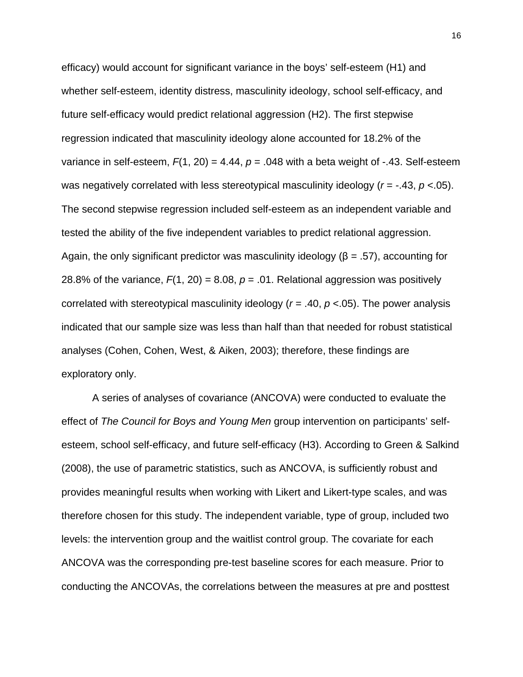efficacy) would account for significant variance in the boys' self-esteem (H1) and whether self-esteem, identity distress, masculinity ideology, school self-efficacy, and future self-efficacy would predict relational aggression (H2). The first stepwise regression indicated that masculinity ideology alone accounted for 18.2% of the variance in self-esteem,  $F(1, 20) = 4.44$ ,  $p = .048$  with a beta weight of  $-0.43$ . Self-esteem was negatively correlated with less stereotypical masculinity ideology (*r* = -.43, *p* <.05). The second stepwise regression included self-esteem as an independent variable and tested the ability of the five independent variables to predict relational aggression. Again, the only significant predictor was masculinity ideology ( $\beta$  = .57), accounting for 28.8% of the variance,  $F(1, 20) = 8.08$ ,  $p = .01$ . Relational aggression was positively correlated with stereotypical masculinity ideology (*r* = .40, *p* <.05). The power analysis indicated that our sample size was less than half than that needed for robust statistical analyses (Cohen, Cohen, West, & Aiken, 2003); therefore, these findings are exploratory only.

A series of analyses of covariance (ANCOVA) were conducted to evaluate the effect of *The Council for Boys and Young Men* group intervention on participants' selfesteem, school self-efficacy, and future self-efficacy (H3). According to Green & Salkind (2008), the use of parametric statistics, such as ANCOVA, is sufficiently robust and provides meaningful results when working with Likert and Likert-type scales, and was therefore chosen for this study. The independent variable, type of group, included two levels: the intervention group and the waitlist control group. The covariate for each ANCOVA was the corresponding pre-test baseline scores for each measure. Prior to conducting the ANCOVAs, the correlations between the measures at pre and posttest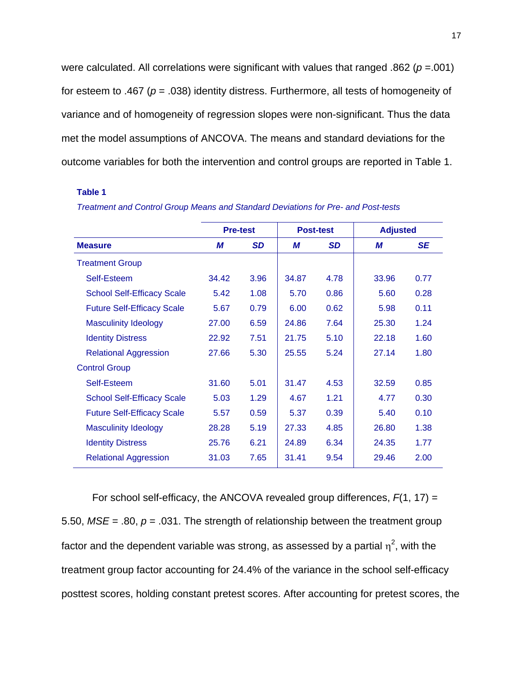were calculated. All correlations were significant with values that ranged .862 (*p* =.001) for esteem to .467 (*p* = .038) identity distress. Furthermore, all tests of homogeneity of variance and of homogeneity of regression slopes were non-significant. Thus the data met the model assumptions of ANCOVA. The means and standard deviations for the outcome variables for both the intervention and control groups are reported in Table 1.

#### **Table 1**

|                                   | <b>Pre-test</b> |           | <b>Post-test</b> |           | <b>Adjusted</b> |           |
|-----------------------------------|-----------------|-----------|------------------|-----------|-----------------|-----------|
| <b>Measure</b>                    | М               | <b>SD</b> | М                | <b>SD</b> | M               | <b>SE</b> |
| <b>Treatment Group</b>            |                 |           |                  |           |                 |           |
| Self-Esteem                       | 34.42           | 3.96      | 34.87            | 4.78      | 33.96           | 0.77      |
| <b>School Self-Efficacy Scale</b> | 5.42            | 1.08      | 5.70             | 0.86      | 5.60            | 0.28      |
| <b>Future Self-Efficacy Scale</b> | 5.67            | 0.79      | 6.00             | 0.62      | 5.98            | 0.11      |
| <b>Masculinity Ideology</b>       | 27.00           | 6.59      | 24.86            | 7.64      | 25.30           | 1.24      |
| <b>Identity Distress</b>          | 22.92           | 7.51      | 21.75            | 5.10      | 22.18           | 1.60      |
| <b>Relational Aggression</b>      | 27.66           | 5.30      | 25.55            | 5.24      | 27.14           | 1.80      |
| <b>Control Group</b>              |                 |           |                  |           |                 |           |
| Self-Esteem                       | 31.60           | 5.01      | 31.47            | 4.53      | 32.59           | 0.85      |
| <b>School Self-Efficacy Scale</b> | 5.03            | 1.29      | 4.67             | 1.21      | 4.77            | 0.30      |
| <b>Future Self-Efficacy Scale</b> | 5.57            | 0.59      | 5.37             | 0.39      | 5.40            | 0.10      |
| <b>Masculinity Ideology</b>       | 28.28           | 5.19      | 27.33            | 4.85      | 26.80           | 1.38      |
| <b>Identity Distress</b>          | 25.76           | 6.21      | 24.89            | 6.34      | 24.35           | 1.77      |
| <b>Relational Aggression</b>      | 31.03           | 7.65      | 31.41            | 9.54      | 29.46           | 2.00      |

| Treatment and Control Group Means and Standard Deviations for Pre- and Post-tests |  |
|-----------------------------------------------------------------------------------|--|
|-----------------------------------------------------------------------------------|--|

For school self-efficacy, the ANCOVA revealed group differences, *F*(1, 17) = 5.50, *MSE* = .80, *p* = .031. The strength of relationship between the treatment group factor and the dependent variable was strong, as assessed by a partial  $\eta^2$ , with the treatment group factor accounting for 24.4% of the variance in the school self-efficacy posttest scores, holding constant pretest scores. After accounting for pretest scores, the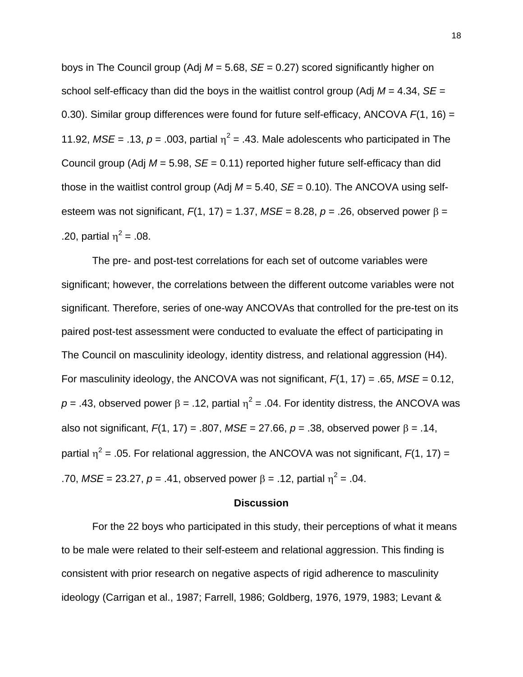boys in The Council group (Adj *M* = 5.68, *SE* = 0.27) scored significantly higher on school self-efficacy than did the boys in the waitlist control group (Adj *M* = 4.34, *SE* = 0.30). Similar group differences were found for future self-efficacy, ANCOVA *F*(1, 16) = 11.92,  $MSE = .13$ ,  $p = .003$ , partial  $\eta^2 = .43$ . Male adolescents who participated in The Council group (Adj *M* = 5.98, *SE* = 0.11) reported higher future self-efficacy than did those in the waitlist control group (Adj  $M = 5.40$ ,  $SE = 0.10$ ). The ANCOVA using selfesteem was not significant,  $F(1, 17) = 1.37$ ,  $MSE = 8.28$ ,  $p = .26$ , observed power  $\beta =$ .20, partial  $\eta^2 = .08$ .

The pre- and post-test correlations for each set of outcome variables were significant; however, the correlations between the different outcome variables were not significant. Therefore, series of one-way ANCOVAs that controlled for the pre-test on its paired post-test assessment were conducted to evaluate the effect of participating in The Council on masculinity ideology, identity distress, and relational aggression (H4). For masculinity ideology, the ANCOVA was not significant, *F*(1, 17) = .65, *MSE* = 0.12,  $p = .43$ , observed power  $\beta = .12$ , partial  $\eta^2 = .04$ . For identity distress, the ANCOVA was also not significant,  $F(1, 17) = .807$ ,  $MSE = 27.66$ ,  $p = .38$ , observed power  $\beta = .14$ , partial  $\eta^2$  = .05. For relational aggression, the ANCOVA was not significant,  $F(1, 17)$  = .70, *MSE* = 23.27, *p* = .41, observed power β = .12, partial  $η<sup>2</sup>$  = .04.

### **Discussion**

For the 22 boys who participated in this study, their perceptions of what it means to be male were related to their self-esteem and relational aggression. This finding is consistent with prior research on negative aspects of rigid adherence to masculinity ideology (Carrigan et al., 1987; Farrell, 1986; Goldberg, 1976, 1979, 1983; Levant &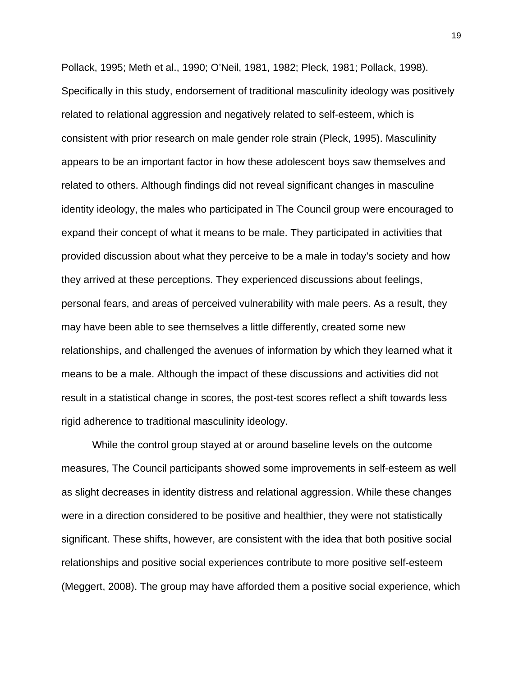Pollack, 1995; Meth et al., 1990; O'Neil, 1981, 1982; Pleck, 1981; Pollack, 1998). Specifically in this study, endorsement of traditional masculinity ideology was positively related to relational aggression and negatively related to self-esteem, which is consistent with prior research on male gender role strain (Pleck, 1995). Masculinity appears to be an important factor in how these adolescent boys saw themselves and related to others. Although findings did not reveal significant changes in masculine identity ideology, the males who participated in The Council group were encouraged to expand their concept of what it means to be male. They participated in activities that provided discussion about what they perceive to be a male in today's society and how they arrived at these perceptions. They experienced discussions about feelings, personal fears, and areas of perceived vulnerability with male peers. As a result, they may have been able to see themselves a little differently, created some new relationships, and challenged the avenues of information by which they learned what it means to be a male. Although the impact of these discussions and activities did not result in a statistical change in scores, the post-test scores reflect a shift towards less rigid adherence to traditional masculinity ideology.

While the control group stayed at or around baseline levels on the outcome measures, The Council participants showed some improvements in self-esteem as well as slight decreases in identity distress and relational aggression. While these changes were in a direction considered to be positive and healthier, they were not statistically significant. These shifts, however, are consistent with the idea that both positive social relationships and positive social experiences contribute to more positive self-esteem (Meggert, 2008). The group may have afforded them a positive social experience, which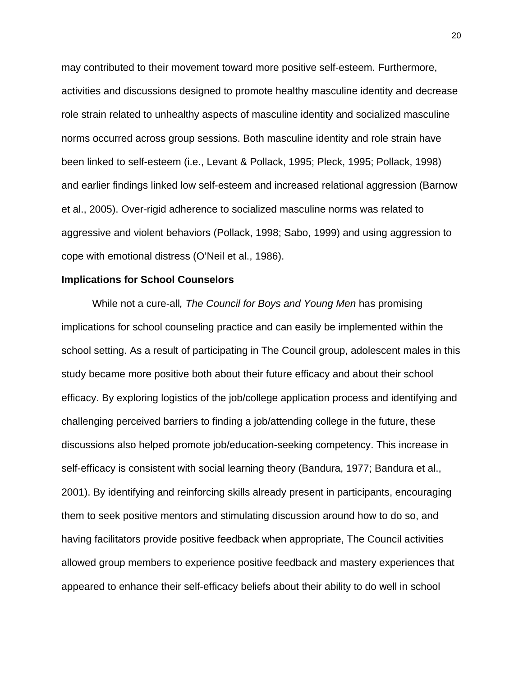may contributed to their movement toward more positive self-esteem. Furthermore, activities and discussions designed to promote healthy masculine identity and decrease role strain related to unhealthy aspects of masculine identity and socialized masculine norms occurred across group sessions. Both masculine identity and role strain have been linked to self-esteem (i.e., Levant & Pollack, 1995; Pleck, 1995; Pollack, 1998) and earlier findings linked low self-esteem and increased relational aggression (Barnow et al., 2005). Over-rigid adherence to socialized masculine norms was related to aggressive and violent behaviors (Pollack, 1998; Sabo, 1999) and using aggression to cope with emotional distress (O'Neil et al., 1986).

## **Implications for School Counselors**

While not a cure-all*, The Council for Boys and Young Men* has promising implications for school counseling practice and can easily be implemented within the school setting. As a result of participating in The Council group, adolescent males in this study became more positive both about their future efficacy and about their school efficacy. By exploring logistics of the job/college application process and identifying and challenging perceived barriers to finding a job/attending college in the future, these discussions also helped promote job/education-seeking competency. This increase in self-efficacy is consistent with social learning theory (Bandura, 1977; Bandura et al., 2001). By identifying and reinforcing skills already present in participants, encouraging them to seek positive mentors and stimulating discussion around how to do so, and having facilitators provide positive feedback when appropriate, The Council activities allowed group members to experience positive feedback and mastery experiences that appeared to enhance their self-efficacy beliefs about their ability to do well in school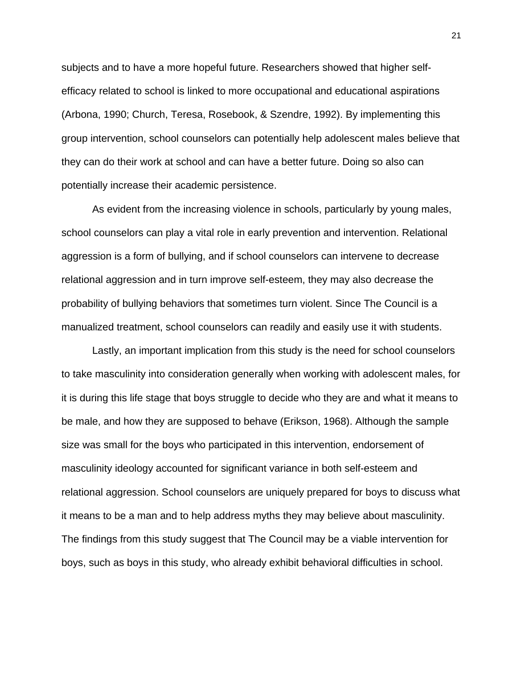subjects and to have a more hopeful future. Researchers showed that higher selfefficacy related to school is linked to more occupational and educational aspirations (Arbona, 1990; Church, Teresa, Rosebook, & Szendre, 1992). By implementing this group intervention, school counselors can potentially help adolescent males believe that they can do their work at school and can have a better future. Doing so also can potentially increase their academic persistence.

As evident from the increasing violence in schools, particularly by young males, school counselors can play a vital role in early prevention and intervention. Relational aggression is a form of bullying, and if school counselors can intervene to decrease relational aggression and in turn improve self-esteem, they may also decrease the probability of bullying behaviors that sometimes turn violent. Since The Council is a manualized treatment, school counselors can readily and easily use it with students.

Lastly, an important implication from this study is the need for school counselors to take masculinity into consideration generally when working with adolescent males, for it is during this life stage that boys struggle to decide who they are and what it means to be male, and how they are supposed to behave (Erikson, 1968). Although the sample size was small for the boys who participated in this intervention, endorsement of masculinity ideology accounted for significant variance in both self-esteem and relational aggression. School counselors are uniquely prepared for boys to discuss what it means to be a man and to help address myths they may believe about masculinity. The findings from this study suggest that The Council may be a viable intervention for boys, such as boys in this study, who already exhibit behavioral difficulties in school.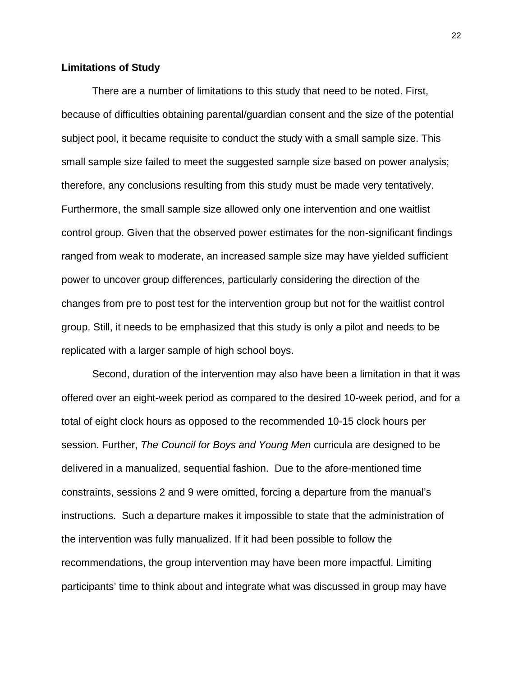## **Limitations of Study**

There are a number of limitations to this study that need to be noted. First, because of difficulties obtaining parental/guardian consent and the size of the potential subject pool, it became requisite to conduct the study with a small sample size. This small sample size failed to meet the suggested sample size based on power analysis; therefore, any conclusions resulting from this study must be made very tentatively. Furthermore, the small sample size allowed only one intervention and one waitlist control group. Given that the observed power estimates for the non-significant findings ranged from weak to moderate, an increased sample size may have yielded sufficient power to uncover group differences, particularly considering the direction of the changes from pre to post test for the intervention group but not for the waitlist control group. Still, it needs to be emphasized that this study is only a pilot and needs to be replicated with a larger sample of high school boys.

Second, duration of the intervention may also have been a limitation in that it was offered over an eight-week period as compared to the desired 10-week period, and for a total of eight clock hours as opposed to the recommended 10-15 clock hours per session. Further, *The Council for Boys and Young Men* curricula are designed to be delivered in a manualized, sequential fashion. Due to the afore-mentioned time constraints, sessions 2 and 9 were omitted, forcing a departure from the manual's instructions. Such a departure makes it impossible to state that the administration of the intervention was fully manualized. If it had been possible to follow the recommendations, the group intervention may have been more impactful. Limiting participants' time to think about and integrate what was discussed in group may have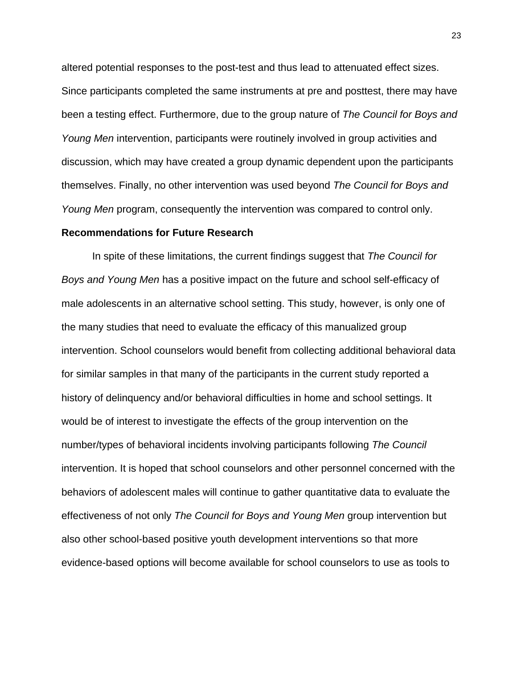altered potential responses to the post-test and thus lead to attenuated effect sizes. Since participants completed the same instruments at pre and posttest, there may have been a testing effect. Furthermore, due to the group nature of *The Council for Boys and Young Men* intervention, participants were routinely involved in group activities and discussion, which may have created a group dynamic dependent upon the participants themselves. Finally, no other intervention was used beyond *The Council for Boys and Young Men* program, consequently the intervention was compared to control only.

### **Recommendations for Future Research**

In spite of these limitations, the current findings suggest that *The Council for Boys and Young Men* has a positive impact on the future and school self-efficacy of male adolescents in an alternative school setting. This study, however, is only one of the many studies that need to evaluate the efficacy of this manualized group intervention. School counselors would benefit from collecting additional behavioral data for similar samples in that many of the participants in the current study reported a history of delinquency and/or behavioral difficulties in home and school settings. It would be of interest to investigate the effects of the group intervention on the number/types of behavioral incidents involving participants following *The Council*  intervention. It is hoped that school counselors and other personnel concerned with the behaviors of adolescent males will continue to gather quantitative data to evaluate the effectiveness of not only *The Council for Boys and Young Men* group intervention but also other school-based positive youth development interventions so that more evidence-based options will become available for school counselors to use as tools to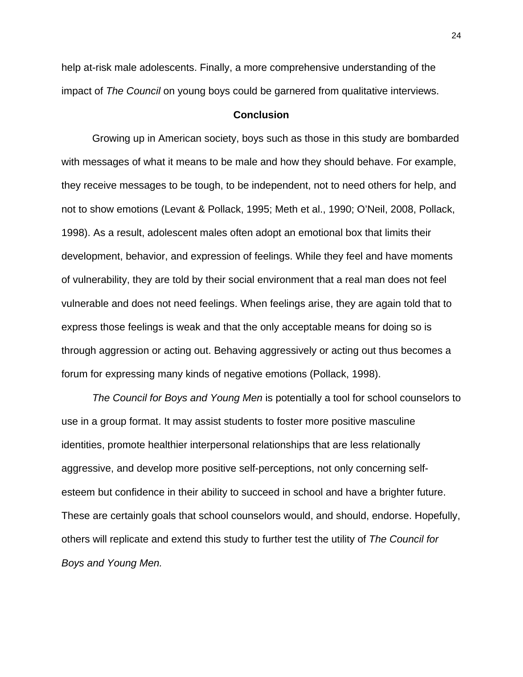help at-risk male adolescents. Finally, a more comprehensive understanding of the impact of *The Council* on young boys could be garnered from qualitative interviews.

# **Conclusion**

Growing up in American society, boys such as those in this study are bombarded with messages of what it means to be male and how they should behave. For example, they receive messages to be tough, to be independent, not to need others for help, and not to show emotions (Levant & Pollack, 1995; Meth et al., 1990; O'Neil, 2008, Pollack, 1998). As a result, adolescent males often adopt an emotional box that limits their development, behavior, and expression of feelings. While they feel and have moments of vulnerability, they are told by their social environment that a real man does not feel vulnerable and does not need feelings. When feelings arise, they are again told that to express those feelings is weak and that the only acceptable means for doing so is through aggression or acting out. Behaving aggressively or acting out thus becomes a forum for expressing many kinds of negative emotions (Pollack, 1998).

*The Council for Boys and Young Men* is potentially a tool for school counselors to use in a group format. It may assist students to foster more positive masculine identities, promote healthier interpersonal relationships that are less relationally aggressive, and develop more positive self-perceptions, not only concerning selfesteem but confidence in their ability to succeed in school and have a brighter future. These are certainly goals that school counselors would, and should, endorse. Hopefully, others will replicate and extend this study to further test the utility of *The Council for Boys and Young Men.*

24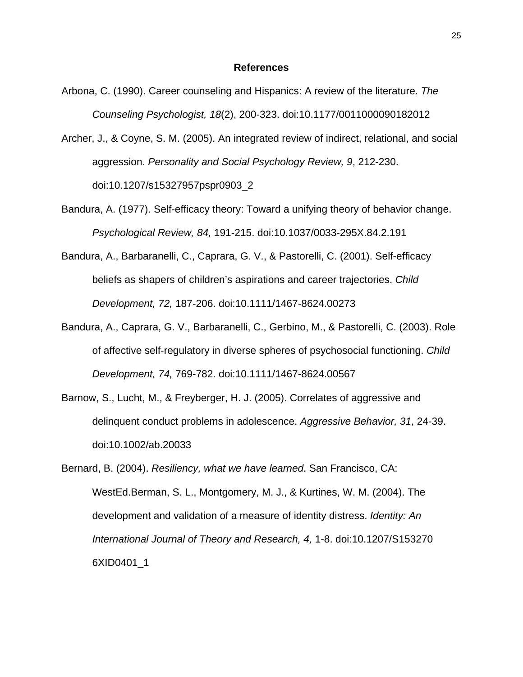#### **References**

- Arbona, C. (1990). Career counseling and Hispanics: A review of the literature. *The Counseling Psychologist, 18*(2), 200-323. doi:10.1177/0011000090182012
- Archer, J., & Coyne, S. M. (2005). An integrated review of indirect, relational, and social aggression. *Personality and Social Psychology Review, 9*, 212-230. doi:10.1207/s15327957pspr0903\_2
- Bandura, A. (1977). Self-efficacy theory: Toward a unifying theory of behavior change. *Psychological Review, 84,* 191-215. doi:10.1037/0033-295X.84.2.191
- Bandura, A., Barbaranelli, C., Caprara, G. V., & Pastorelli, C. (2001). Self-efficacy beliefs as shapers of children's aspirations and career trajectories. *Child Development, 72,* 187-206. doi:10.1111/1467-8624.00273
- Bandura, A., Caprara, G. V., Barbaranelli, C., Gerbino, M., & Pastorelli, C. (2003). Role of affective self-regulatory in diverse spheres of psychosocial functioning. *Child Development, 74,* 769-782. doi:10.1111/1467-8624.00567
- Barnow, S., Lucht, M., & Freyberger, H. J. (2005). Correlates of aggressive and delinquent conduct problems in adolescence. *Aggressive Behavior, 31*, 24-39. doi:10.1002/ab.20033
- Bernard, B. (2004). *Resiliency, what we have learned*. San Francisco, CA: WestEd.Berman, S. L., Montgomery, M. J., & Kurtines, W. M. (2004). The development and validation of a measure of identity distress. *Identity: An International Journal of Theory and Research, 4,* 1-8. doi:10.1207/S153270 6XID0401\_1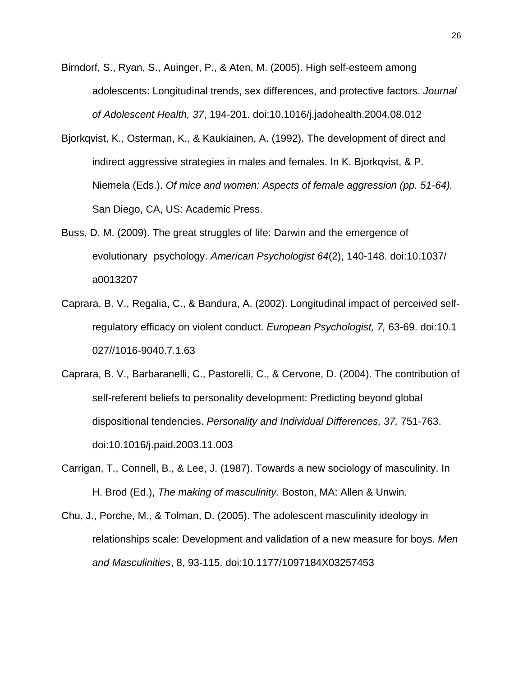- Birndorf, S., Ryan, S., Auinger, P., & Aten, M. (2005). High self-esteem among adolescents: Longitudinal trends, sex differences, and protective factors. *Journal of Adolescent Health, 37*, 194-201. doi:10.1016/j.jadohealth.2004.08.012
- Bjorkqvist, K., Osterman, K., & Kaukiainen, A. (1992). The development of direct and indirect aggressive strategies in males and females. In K. Bjorkqvist, & P. Niemela (Eds.). *Of mice and women: Aspects of female aggression (pp. 51-64).*  San Diego, CA, US: Academic Press.
- Buss, D. M. (2009). The great struggles of life: Darwin and the emergence of evolutionary psychology. *American Psychologist 64*(2), 140-148. doi:10.1037/ a0013207
- Caprara, B. V., Regalia, C., & Bandura, A. (2002). Longitudinal impact of perceived selfregulatory efficacy on violent conduct. *European Psychologist, 7,* 63-69. doi:10.1 027//1016-9040.7.1.63
- Caprara, B. V., Barbaranelli, C., Pastorelli, C., & Cervone, D. (2004). The contribution of self-referent beliefs to personality development: Predicting beyond global dispositional tendencies. *Personality and Individual Differences, 37,* 751-763. doi:10.1016/j.paid.2003.11.003
- Carrigan, T., Connell, B., & Lee, J. (1987). Towards a new sociology of masculinity. In H. Brod (Ed.), *The making of masculinity.* Boston, MA: Allen & Unwin.
- Chu, J., Porche, M., & Tolman, D. (2005). The adolescent masculinity ideology in relationships scale: Development and validation of a new measure for boys. *Men and Masculinities*, 8, 93-115. doi:10.1177/1097184X03257453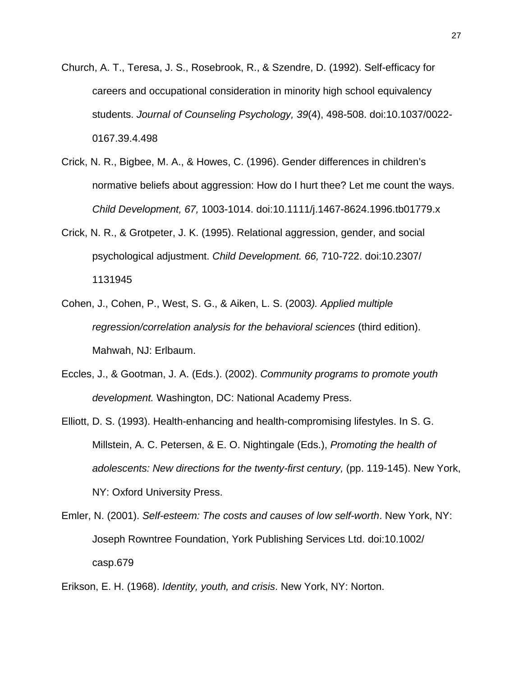- Church, A. T., Teresa, J. S., Rosebrook, R., & Szendre, D. (1992). Self-efficacy for careers and occupational consideration in minority high school equivalency students. *Journal of Counseling Psychology, 39*(4), 498-508. doi:10.1037/0022- 0167.39.4.498
- Crick, N. R., Bigbee, M. A., & Howes, C. (1996). Gender differences in children's normative beliefs about aggression: How do I hurt thee? Let me count the ways. *Child Development, 67,* 1003-1014. doi:10.1111/j.1467-8624.1996.tb01779.x
- Crick, N. R., & Grotpeter, J. K. (1995). Relational aggression, gender, and social psychological adjustment. *Child Development. 66,* 710-722. doi:10.2307/ 1131945
- Cohen, J., Cohen, P., West, S. G., & Aiken, L. S. (2003*). Applied multiple regression/correlation analysis for the behavioral sciences* (third edition). Mahwah, NJ: Erlbaum.
- Eccles, J., & Gootman, J. A. (Eds.). (2002). *Community programs to promote youth development.* Washington, DC: National Academy Press.
- Elliott, D. S. (1993). Health-enhancing and health-compromising lifestyles. In S. G. Millstein, A. C. Petersen, & E. O. Nightingale (Eds.), *Promoting the health of adolescents: New directions for the twenty-first century,* (pp. 119-145). New York, NY: Oxford University Press.
- Emler, N. (2001). *Self-esteem: The costs and causes of low self-worth*. New York, NY: Joseph Rowntree Foundation, York Publishing Services Ltd. doi:10.1002/ casp.679
- Erikson, E. H. (1968). *Identity, youth, and crisis*. New York, NY: Norton.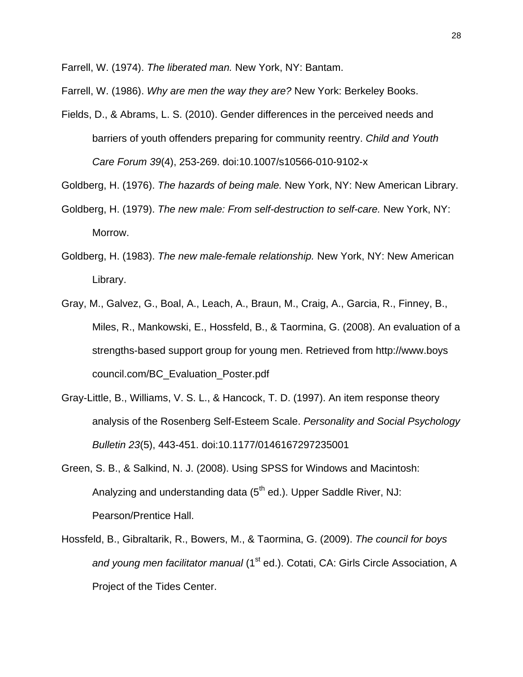Farrell, W. (1974). *The liberated man.* New York, NY: Bantam.

Farrell, W. (1986). *Why are men the way they are?* New York: Berkeley Books.

Fields, D., & Abrams, L. S. (2010). Gender differences in the perceived needs and barriers of youth offenders preparing for community reentry. *Child and Youth Care Forum 39*(4), 253-269. doi:10.1007/s10566-010-9102-x

Goldberg, H. (1976). *The hazards of being male.* New York, NY: New American Library.

- Goldberg, H. (1979). *The new male: From self-destruction to self-care.* New York, NY: Morrow.
- Goldberg, H. (1983). *The new male-female relationship.* New York, NY: New American Library.
- Gray, M., Galvez, G., Boal, A., Leach, A., Braun, M., Craig, A., Garcia, R., Finney, B., Miles, R., Mankowski, E., Hossfeld, B., & Taormina, G. (2008). An evaluation of a strengths-based support group for young men. Retrieved from http://www.boys council.com/BC\_Evaluation\_Poster.pdf
- Gray-Little, B., Williams, V. S. L., & Hancock, T. D. (1997). An item response theory analysis of the Rosenberg Self-Esteem Scale. *Personality and Social Psychology Bulletin 23*(5), 443-451. doi:10.1177/0146167297235001
- Green, S. B., & Salkind, N. J. (2008). Using SPSS for Windows and Macintosh: Analyzing and understanding data  $(5<sup>th</sup>$  ed.). Upper Saddle River, NJ: Pearson/Prentice Hall.
- Hossfeld, B., Gibraltarik, R., Bowers, M., & Taormina, G. (2009). *The council for boys and young men facilitator manual* (1<sup>st</sup> ed.). Cotati, CA: Girls Circle Association, A Project of the Tides Center.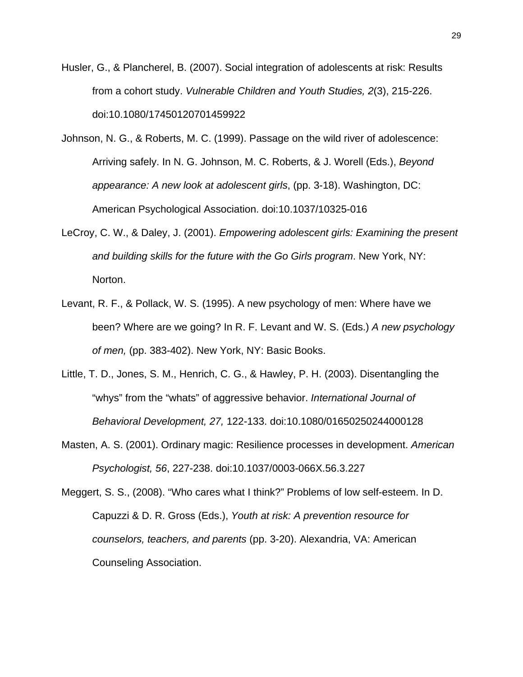- Husler, G., & Plancherel, B. (2007). Social integration of adolescents at risk: Results from a cohort study. *Vulnerable Children and Youth Studies, 2*(3), 215-226. doi:10.1080/17450120701459922
- Johnson, N. G., & Roberts, M. C. (1999). Passage on the wild river of adolescence: Arriving safely. In N. G. Johnson, M. C. Roberts, & J. Worell (Eds.), *Beyond appearance: A new look at adolescent girls*, (pp. 3-18). Washington, DC: American Psychological Association. doi:10.1037/10325-016
- LeCroy, C. W., & Daley, J. (2001). *Empowering adolescent girls: Examining the present and building skills for the future with the Go Girls program*. New York, NY: Norton.
- Levant, R. F., & Pollack, W. S. (1995). A new psychology of men: Where have we been? Where are we going? In R. F. Levant and W. S. (Eds.) *A new psychology of men,* (pp. 383-402). New York, NY: Basic Books.
- Little, T. D., Jones, S. M., Henrich, C. G., & Hawley, P. H. (2003). Disentangling the "whys" from the "whats" of aggressive behavior. *International Journal of Behavioral Development, 27,* 122-133. doi:10.1080/01650250244000128
- Masten, A. S. (2001). Ordinary magic: Resilience processes in development. *American Psychologist, 56*, 227-238. doi:10.1037/0003-066X.56.3.227

Meggert, S. S., (2008). "Who cares what I think?" Problems of low self-esteem. In D. Capuzzi & D. R. Gross (Eds.), *Youth at risk: A prevention resource for counselors, teachers, and parents* (pp. 3-20). Alexandria, VA: American Counseling Association.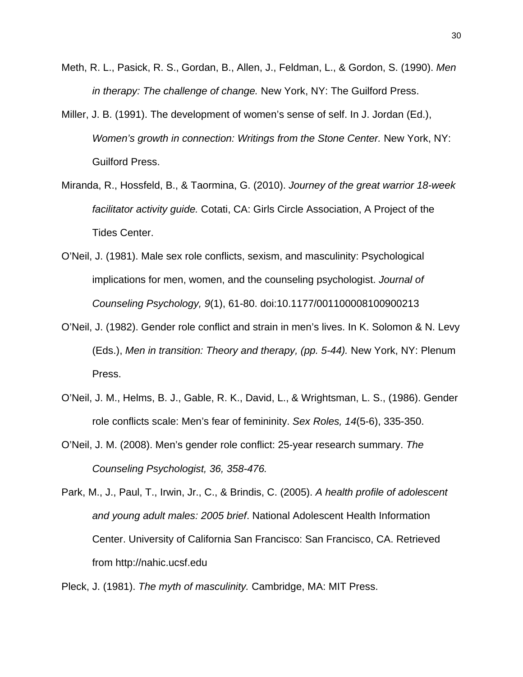- Meth, R. L., Pasick, R. S., Gordan, B., Allen, J., Feldman, L., & Gordon, S. (1990). *Men in therapy: The challenge of change.* New York, NY: The Guilford Press.
- Miller, J. B. (1991). The development of women's sense of self. In J. Jordan (Ed.), *Women's growth in connection: Writings from the Stone Center. New York, NY:* Guilford Press.
- Miranda, R., Hossfeld, B., & Taormina, G. (2010). *Journey of the great warrior 18-week facilitator activity guide.* Cotati, CA: Girls Circle Association, A Project of the Tides Center.
- O'Neil, J. (1981). Male sex role conflicts, sexism, and masculinity: Psychological implications for men, women, and the counseling psychologist. *Journal of Counseling Psychology, 9*(1), 61-80. doi:10.1177/001100008100900213
- O'Neil, J. (1982). Gender role conflict and strain in men's lives. In K. Solomon & N. Levy (Eds.), *Men in transition: Theory and therapy, (pp. 5-44).* New York, NY: Plenum Press.
- O'Neil, J. M., Helms, B. J., Gable, R. K., David, L., & Wrightsman, L. S., (1986). Gender role conflicts scale: Men's fear of femininity. *Sex Roles, 14*(5-6), 335-350.
- O'Neil, J. M. (2008). Men's gender role conflict: 25-year research summary. *The Counseling Psychologist, 36, 358-476.*

Park, M., J., Paul, T., Irwin, Jr., C., & Brindis, C. (2005). *A health profile of adolescent and young adult males: 2005 brief*. National Adolescent Health Information Center. University of California San Francisco: San Francisco, CA. Retrieved from http://nahic.ucsf.edu

Pleck, J. (1981). *The myth of masculinity.* Cambridge, MA: MIT Press.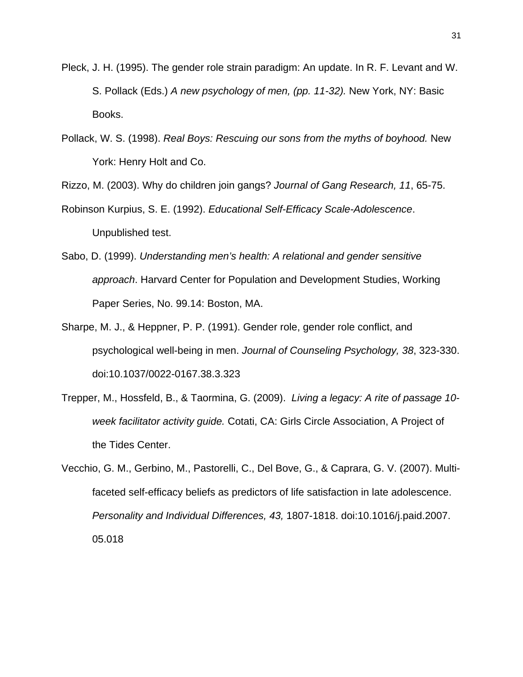- Pleck, J. H. (1995). The gender role strain paradigm: An update. In R. F. Levant and W. S. Pollack (Eds.) *A new psychology of men, (pp. 11-32).* New York, NY: Basic Books.
- Pollack, W. S. (1998). *Real Boys: Rescuing our sons from the myths of boyhood.* New York: Henry Holt and Co.

Rizzo, M. (2003). Why do children join gangs? *Journal of Gang Research, 11*, 65-75.

- Robinson Kurpius, S. E. (1992). *Educational Self-Efficacy Scale-Adolescence*. Unpublished test.
- Sabo, D. (1999). *Understanding men's health: A relational and gender sensitive approach*. Harvard Center for Population and Development Studies, Working Paper Series, No. 99.14: Boston, MA.
- Sharpe, M. J., & Heppner, P. P. (1991). Gender role, gender role conflict, and psychological well-being in men. *Journal of Counseling Psychology, 38*, 323-330. doi:10.1037/0022-0167.38.3.323
- Trepper, M., Hossfeld, B., & Taormina, G. (2009). *Living a legacy: A rite of passage 10 week facilitator activity guide.* Cotati, CA: Girls Circle Association, A Project of the Tides Center.
- Vecchio, G. M., Gerbino, M., Pastorelli, C., Del Bove, G., & Caprara, G. V. (2007). Multifaceted self-efficacy beliefs as predictors of life satisfaction in late adolescence. *Personality and Individual Differences, 43,* 1807-1818. doi:10.1016/j.paid.2007. 05.018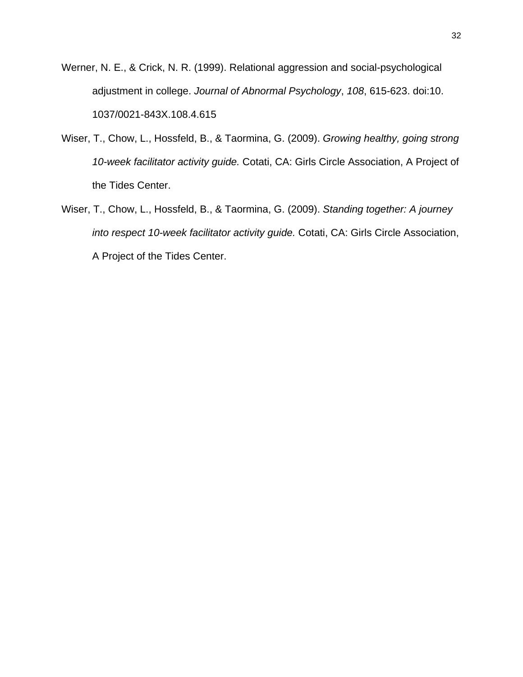- Werner, N. E., & Crick, N. R. (1999). Relational aggression and social-psychological adjustment in college. *Journal of Abnormal Psychology*, *108*, 615-623. doi:10. 1037/0021-843X.108.4.615
- Wiser, T., Chow, L., Hossfeld, B., & Taormina, G. (2009). *Growing healthy, going strong 10-week facilitator activity guide.* Cotati, CA: Girls Circle Association, A Project of the Tides Center.
- Wiser, T., Chow, L., Hossfeld, B., & Taormina, G. (2009). *Standing together: A journey into respect 10-week facilitator activity guide.* Cotati, CA: Girls Circle Association, A Project of the Tides Center.